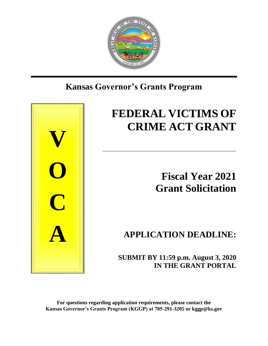

## **Kansas Governor's Grants Program**



# **FEDERAL VICTIMS OF CRIME ACT GRANT**

\_\_\_\_\_\_\_\_\_\_\_\_\_\_\_\_\_\_\_\_\_\_\_\_\_\_\_\_\_\_\_\_\_\_\_\_\_\_\_\_\_\_\_\_\_\_\_\_\_\_\_

**Fiscal Year 2021 Grant Solicitation**

**APPLICATION DEADLINE:**

 **SUBMIT BY 11:59 p.m. August 3, 2020 IN THE GRANT PORTAL**

**For questions regarding application requirements, please contact the Kansas Governor's Grants Program (KGGP) at 785-291-3205 or kggp@ks.gov**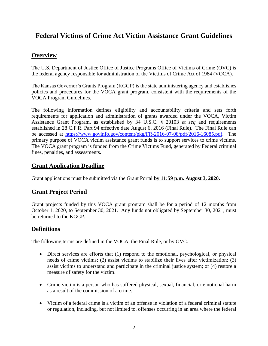## **Federal Victims of Crime Act Victim Assistance Grant Guidelines**

## **Overview**

The U.S. Department of Justice Office of Justice Programs Office of Victims of Crime (OVC) is the federal agency responsible for administration of the Victims of Crime Act of 1984 (VOCA).

The Kansas Governor's Grants Program (KGGP) is the state administering agency and establishes policies and procedures for the VOCA grant program, consistent with the requirements of the VOCA Program Guidelines.

The following information defines eligibility and accountability criteria and sets forth requirements for application and administration of grants awarded under the VOCA, Victim Assistance Grant Program, as established by 34 U.S.C. § 20103 *et seq* and requirements established in 28 C.F.R. Part 94 effective date August 6, 2016 (Final Rule). The Final Rule can be accessed at [https://www.govinfo.gov/content/pkg/FR-2016-07-08/pdf/2016-16085.pdf.](https://www.govinfo.gov/content/pkg/FR-2016-07-08/pdf/2016-16085.pdf) The primary purpose of VOCA victim assistance grant funds is to support services to crime victims. The VOCA grant program is funded from the Crime Victims Fund, generated by Federal criminal fines, penalties, and assessments.

## **Grant Application Deadline**

Grant applications must be submitted via the Grant Portal **by 11:59 p.m. August 3, 2020.**

## **Grant Project Period**

Grant projects funded by this VOCA grant program shall be for a period of 12 months from October 1, 2020, to September 30, 2021. Any funds not obligated by September 30, 2021, must be returned to the KGGP.

## **Definitions**

The following terms are defined in the VOCA, the Final Rule, or by OVC.

- Direct services are efforts that (1) respond to the emotional, psychological, or physical needs of crime victims; (2) assist victims to stabilize their lives after victimization; (3) assist victims to understand and participate in the criminal justice system; or (4) restore a measure of safety for the victim.
- Crime victim is a person who has suffered physical, sexual, financial, or emotional harm as a result of the commission of a crime.
- Victim of a federal crime is a victim of an offense in violation of a federal criminal statute or regulation, including, but not limited to, offenses occurring in an area where the federal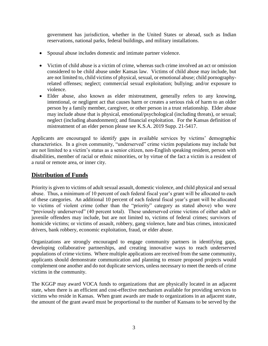government has jurisdiction, whether in the United States or abroad, such as Indian reservations, national parks, federal buildings, and military installations.

- Spousal abuse includes domestic and intimate partner violence.
- Victim of child abuse is a victim of crime, whereas such crime involved an act or omission considered to be child abuse under Kansas law. Victims of child abuse may include, but are not limited to, child victims of physical, sexual, or emotional abuse; child pornographyrelated offenses; neglect; commercial sexual exploitation; bullying; and/or exposure to violence.
- Elder abuse, also known as elder mistreatment, generally refers to any knowing, intentional, or negligent act that causes harm or creates a serious risk of harm to an older person by a family member, caregiver, or other person in a trust relationship. Elder abuse may include abuse that is physical, emotional/psychological (including threats), or sexual; neglect (including abandonment); and financial exploitation. For the Kansas definition of mistreatment of an elder person please see K.S.A. 2019 Supp. 21-5417.

Applicants are encouraged to identify gaps in available services by victims' demographic characteristics. In a given community, "underserved" crime victim populations may include but are not limited to a victim's status as a senior citizen, non-English speaking resident, person with disabilities, member of racial or ethnic minorities, or by virtue of the fact a victim is a resident of a rural or remote area, or inner city.

## **Distribution of Funds**

Priority is given to victims of adult sexual assault, domestic violence, and child physical and sexual abuse. Thus, a minimum of 10 percent of each federal fiscal year's grant will be allocated to each of these categories. An additional 10 percent of each federal fiscal year's grant will be allocated to victims of violent crime (other than the "priority" category as stated above) who were "previously underserved" (40 percent total). These underserved crime victims of either adult or juvenile offenders may include, but are not limited to, victims of federal crimes; survivors of homicide victims; or victims of assault, robbery, gang violence, hate and bias crimes, intoxicated drivers, bank robbery, economic exploitation, fraud, or elder abuse.

Organizations are strongly encouraged to engage community partners in identifying gaps, developing collaborative partnerships, and creating innovative ways to reach underserved populations of crime victims. Where multiple applications are received from the same community, applicants should demonstrate communication and planning to ensure proposed projects would complement one another and do not duplicate services, unless necessary to meet the needs of crime victims in the community.

The KGGP may award VOCA funds to organizations that are physically located in an adjacent state, when there is an efficient and cost-effective mechanism available for providing services to victims who reside in Kansas. When grant awards are made to organizations in an adjacent state, the amount of the grant award must be proportional to the number of Kansans to be served by the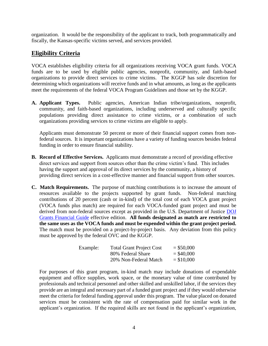organization. It would be the responsibility of the applicant to track, both programmatically and fiscally, the Kansas-specific victims served, and services provided.

## **Eligibility Criteria**

VOCA establishes eligibility criteria for all organizations receiving VOCA grant funds. VOCA funds are to be used by eligible public agencies, nonprofit, community, and faith-based organizations to provide direct services to crime victims. The KGGP has sole discretion for determining which organizations will receive funds and in what amounts, as long as the applicants meet the requirements of the federal VOCA Program Guidelines and those set by the KGGP.

**A. Applicant Types.** Public agencies, American Indian tribe/organizations, nonprofit, community, and faith-based organizations, including underserved and culturally specific populations providing direct assistance to crime victims, or a combination of such organizations providing services to crime victims are eligible to apply.

Applicants must demonstrate 50 percent or more of their financial support comes from nonfederal sources. It is important organizations have a variety of funding sources besides federal funding in order to ensure financial stability.

- **B. Record of Effective Services.** Applicants must demonstrate a record of providing effective direct services and support from sources other than the crime victim's fund. This includes having the support and approval of its direct services by the community, a history of providing direct services in a cost-effective manner and financial support from other sources.
- **C. Match Requirements.** The purpose of matching contributions is to increase the amount of resources available to the projects supported by grant funds. Non-federal matching contributions of 20 percent (cash or in-kind) of the total cost of each VOCA grant project (VOCA funds plus match) are required for each VOCA-funded grant project and must be derived from non-federal sources except as provided in the U.S. Department of Justice DOJ [Grants Financial Guide](http://ojp.gov/financialguide/DOJ/index.htm) effective edition. **All funds designated as match are restricted to the same uses as the VOCA funds and must be expended within the grant project period.** The match must be provided on a project-by-project basis. Any deviation from this policy must be approved by the federal OVC and the KGGP.

| Example: | <b>Total Grant Project Cost</b> | $=$ \$50,000 |
|----------|---------------------------------|--------------|
|          | 80% Federal Share               | $=$ \$40,000 |
|          | 20% Non-Federal Match           | $=$ \$10,000 |

For purposes of this grant program, in-kind match may include donations of expendable equipment and office supplies, work space, or the monetary value of time contributed by professionals and technical personnel and other skilled and unskilled labor, if the services they provide are an integral and necessary part of a funded grant project and if they would otherwise meet the criteria for federal funding approval under this program. The value placed on donated services must be consistent with the rate of compensation paid for similar work in the applicant's organization. If the required skills are not found in the applicant's organization,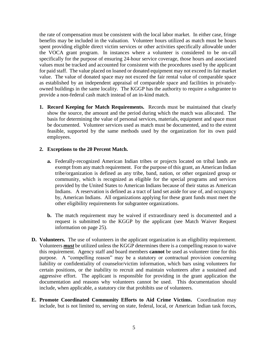the rate of compensation must be consistent with the local labor market. In either case, fringe benefits may be included in the valuation. Volunteer hours utilized as match must be hours spent providing eligible direct victim services or other activities specifically allowable under the VOCA grant program. In instances where a volunteer is considered to be on-call specifically for the purpose of ensuring 24-hour service coverage, those hours and associated values must be tracked and accounted for consistent with the procedures used by the applicant for paid staff. The value placed on loaned or donated equipment may not exceed its fair market value. The value of donated space may not exceed the fair rental value of comparable space as established by an independent appraisal of comparable space and facilities in privatelyowned buildings in the same locality. The KGGP has the authority to require a subgrantee to provide a non-federal cash match instead of an in-kind match.

**1. Record Keeping for Match Requirements.** Records must be maintained that clearly show the source, the amount and the period during which the match was allocated. The basis for determining the value of personal services, materials, equipment and space must be documented. Volunteer services used as match must be documented, and to the extent feasible, supported by the same methods used by the organization for its own paid employees.

#### **2. Exceptions to the 20 Percent Match.**

- **a.** Federally-recognized American Indian tribes or projects located on tribal lands are exempt from any match requirement. For the purpose of this grant, an American Indian tribe/organization is defined as any tribe, band, nation, or other organized group or community, which is recognized as eligible for the special programs and services provided by the United States to American Indians because of their status as American Indians. A reservation is defined as a tract of land set aside for use of, and occupancy by, American Indians. All organizations applying for these grant funds must meet the other eligibility requirements for subgrantee organizations.
- **b.** The match requirement may be waived if extraordinary need is documented and a request is submitted to the KGGP by the applicant (see Match Waiver Request information on page 25).
- **D. Volunteers.** The use of volunteers in the applicant organization is an eligibility requirement. Volunteers *must* be utilized unless the KGGP determines there is a compelling reason to waive this requirement. Agency staff and board members **cannot** be used as volunteer time for this purpose. A "compelling reason" may be a statutory or contractual provision concerning liability or confidentiality of counselor/victim information, which bars using volunteers for certain positions, or the inability to recruit and maintain volunteers after a sustained and aggressive effort. The applicant is responsible for providing in the grant application the documentation and reasons why volunteers cannot be used. This documentation should include, when applicable, a statutory cite that prohibits use of volunteers.
- **E. Promote Coordinated Community Efforts to Aid Crime Victims.** Coordination may include, but is not limited to, serving on state, federal, local, or American Indian task forces,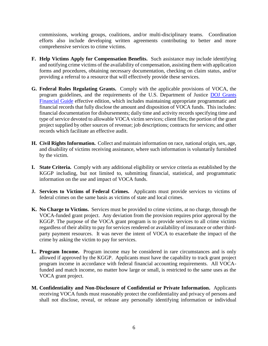commissions, working groups, coalitions, and/or multi-disciplinary teams. Coordination efforts also include developing written agreements contributing to better and more comprehensive services to crime victims.

- **F. Help Victims Apply for Compensation Benefits.** Such assistance may include identifying and notifying crime victims of the availability of compensation, assisting them with application forms and procedures, obtaining necessary documentation, checking on claim status, and/or providing a referral to a resource that will effectively provide these services.
- **G. Federal Rules Regulating Grants.** Comply with the applicable provisions of VOCA, the program guidelines, and the requirements of the U.S. Department of Justice [DOJ Grants](http://ojp.gov/financialguide/DOJ/index.htm)  [Financial Guide](http://ojp.gov/financialguide/DOJ/index.htm) effective edition, which includes maintaining appropriate programmatic and financial records that fully disclose the amount and disposition of VOCA funds. This includes: financial documentation for disbursements; daily time and activity records specifying time and type of service devoted to allowable VOCA victim services; client files; the portion of the grant project supplied by other sources of revenue; job descriptions; contracts for services; and other records which facilitate an effective audit.
- **H. Civil Rights Information.** Collect and maintain information on race, national origin, sex, age, and disability of victims receiving assistance, where such information is voluntarily furnished by the victim.
- **I. State Criteria.** Comply with any additional eligibility or service criteria as established by the KGGP including, but not limited to, submitting financial, statistical, and programmatic information on the use and impact of VOCA funds.
- **J. Services to Victims of Federal Crimes.** Applicants must provide services to victims of federal crimes on the same basis as victims of state and local crimes.
- **K. No Charge to Victims.** Services must be provided to crime victims, at no charge, through the VOCA-funded grant project. Any deviation from the provision requires prior approval by the KGGP. The purpose of the VOCA grant program is to provide services to all crime victims regardless of their ability to pay for services rendered or availability of insurance or other thirdparty payment resources. It was never the intent of VOCA to exacerbate the impact of the crime by asking the victim to pay for services.
- **L. Program Income.** Program income may be considered in rare circumstances and is only allowed if approved by the KGGP. Applicants must have the capability to track grant project program income in accordance with federal financial accounting requirements. All VOCAfunded and match income, no matter how large or small, is restricted to the same uses as the VOCA grant project.
- **M. Confidentiality and Non-Disclosure of Confidential or Private Information.** Applicants receiving VOCA funds must reasonably protect the confidentiality and privacy of persons and shall not disclose, reveal, or release any personally identifying information or individual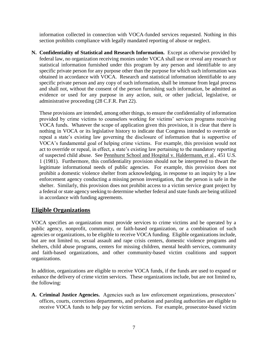information collected in connection with VOCA-funded services requested. Nothing in this section prohibits compliance with legally mandated reporting of abuse or neglect.

**N. Confidentiality of Statistical and Research Information.** Except as otherwise provided by federal law, no organization receiving monies under VOCA shall use or reveal any research or statistical information furnished under this program by any person and identifiable to any specific private person for any purpose other than the purpose for which such information was obtained in accordance with VOCA. Research and statistical information identifiable to any specific private person and any copy of such information, shall be immune from legal process and shall not, without the consent of the person furnishing such information, be admitted as evidence or used for any purpose in any action, suit, or other judicial, legislative, or administrative proceeding (28 C.F.R. Part 22).

These provisions are intended, among other things, to ensure the confidentiality of information provided by crime victims to counselors working for victims' services programs receiving VOCA funds. Whatever the scope of application given this provision, it is clear that there is nothing in VOCA or its legislative history to indicate that Congress intended to override or repeal a state's existing law governing the disclosure of information that is supportive of VOCA's fundamental goal of helping crime victims. For example, this provision would not act to override or repeal, in effect, a state's existing law pertaining to the mandatory reporting of suspected child abuse. See Pennhurst School and Hospital v. Haldermann, et al., 451 U.S. 1 (1981). Furthermore, this confidentiality provision should not be interpreted to thwart the legitimate informational needs of public agencies. For example, this provision does not prohibit a domestic violence shelter from acknowledging, in response to an inquiry by a law enforcement agency conducting a missing person investigation, that the person is safe in the shelter. Similarly, this provision does not prohibit access to a victim service grant project by a federal or state agency seeking to determine whether federal and state funds are being utilized in accordance with funding agreements.

## **Eligible Organizations**

VOCA specifies an organization must provide services to crime victims and be operated by a public agency, nonprofit, community, or faith-based organization, or a combination of such agencies or organizations, to be eligible to receive VOCA funding. Eligible organizations include, but are not limited to, sexual assault and rape crisis centers, domestic violence programs and shelters, child abuse programs, centers for missing children, mental health services, community and faith-based organizations, and other community-based victim coalitions and support organizations.

In addition, organizations are eligible to receive VOCA funds, if the funds are used to expand or enhance the delivery of crime victim services. These organizations include, but are not limited to, the following:

**A. Criminal Justice Agencies.** Agencies such as law enforcement organizations, prosecutors' offices, courts, corrections departments, and probation and paroling authorities are eligible to receive VOCA funds to help pay for victim services. For example, prosecutor-based victim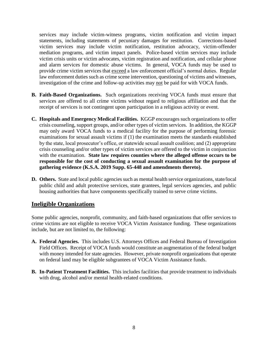services may include victim-witness programs, victim notification and victim impact statements, including statements of pecuniary damages for restitution. Corrections-based victim services may include victim notification, restitution advocacy, victim-offender mediation programs, and victim impact panels. Police-based victim services may include victim crisis units or victim advocates, victim registration and notification, and cellular phone and alarm services for domestic abuse victims. In general, VOCA funds may be used to provide crime victim services that exceed a law enforcement official's normal duties. Regular law enforcement duties such as crime scene intervention, questioning of victims and witnesses, investigation of the crime and follow-up activities may not be paid for with VOCA funds.

- **B. Faith-Based Organizations.** Such organizations receiving VOCA funds must ensure that services are offered to all crime victims without regard to religious affiliation and that the receipt of services is not contingent upon participation in a religious activity or event.
- **C. Hospitals and Emergency Medical Facilities.** KGGP encourages such organizations to offer crisis counseling, support groups, and/or other types of victim services. In addition, the KGGP may only award VOCA funds to a medical facility for the purpose of performing forensic examinations for sexual assault victims if (1) the examination meets the standards established by the state, local prosecutor's office, or statewide sexual assault coalition; and (2) appropriate crisis counseling and/or other types of victim services are offered to the victim in conjunction with the examination. **State law requires counties where the alleged offense occurs to be responsible for the cost of conducting a sexual assault examination for the purpose of gathering evidence (K.S.A. 2019 Supp. 65-448 and amendments thereto).**
- **D. Others.** State and local public agencies such as mental health service organizations, state/local public child and adult protective services, state grantees, legal services agencies, and public housing authorities that have components specifically trained to serve crime victims.

## **Ineligible Organizations**

Some public agencies, nonprofit, community, and faith-based organizations that offer services to crime victims are not eligible to receive VOCA Victim Assistance funding. These organizations include, but are not limited to, the following:

- **A. Federal Agencies.** This includes U.S. Attorneys Offices and Federal Bureau of Investigation Field Offices. Receipt of VOCA funds would constitute an augmentation of the federal budget with money intended for state agencies. However, private nonprofit organizations that operate on federal land may be eligible subgrantees of VOCA Victim Assistance funds.
- **B. In-Patient Treatment Facilities.** This includes facilities that provide treatment to individuals with drug, alcohol and/or mental health-related conditions.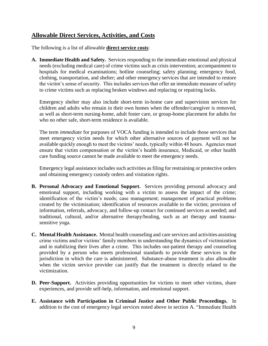## **Allowable Direct Services, Activities, and Costs**

The following is a list of allowable **direct service costs**:

**A. Immediate Health and Safety.** Services responding to the immediate emotional and physical needs (excluding medical care) of crime victims such as crisis intervention; accompaniment to hospitals for medical examinations; hotline counseling; safety planning; emergency food, clothing, transportation, and shelter; and other emergency services that are intended to restore the victim's sense of security. This includes services that offer an immediate measure of safety to crime victims such as replacing broken windows and replacing or repairing locks.

Emergency shelter may also include short-term in-home care and supervision services for children and adults who remain in their own homes when the offender/caregiver is removed, as well as short-term nursing-home, adult foster care, or group-home placement for adults for who no other safe, short-term residence is available.

The term *immediate* for purposes of VOCA funding is intended to include those services that meet emergency victim needs for which other alternative sources of payment will not be available quickly enough to meet the victims' needs, typically within 48 hours. Agencies must ensure that victim compensation or the victim's health insurance, Medicaid, or other health care funding source cannot be made available to meet the emergency needs.

Emergency legal assistance includes such activities as filing for restraining or protective orders and obtaining emergency custody orders and visitation rights.

- **B. Personal Advocacy and Emotional Support.** Services providing personal advocacy and emotional support, including working with a victim to assess the impact of the crime; identification of the victim's needs; case management; management of practical problems created by the victimization; identification of resources available to the victim; provision of information, referrals, advocacy, and follow-up contact for continued services as needed; and traditional, cultural, and/or alternative therapy/healing, such as art therapy and traumasensitive yoga.
- **C. Mental Health Assistance.** Mental health counseling and care services and activities assisting crime victims and/or victims' family members in understanding the dynamics of victimization and in stabilizing their lives after a crime. This includes out-patient therapy and counseling provided by a person who meets professional standards to provide these services in the jurisdiction in which the care is administered. Substance-abuse treatment is also allowable when the victim service provider can justify that the treatment is directly related to the victimization.
- **D. Peer-Support.** Activities providing opportunities for victims to meet other victims, share experiences, and provide self-help, information, and emotional support.
- **E. Assistance with Participation in Criminal Justice and Other Public Proceedings.** In addition to the cost of emergency legal services noted above in section A. "Immediate Health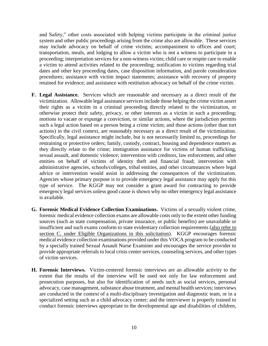and Safety," other costs associated with helping victims participate in the criminal justice system and other public proceedings arising from the crime also are allowable. These services may include advocacy on behalf of crime victims; accompaniment to offices and court; transportation, meals, and lodging to allow a victim who is not a witness to participate in a proceeding; interpretation services for a non-witness victim; child care or respite care to enable a victim to attend activities related to the proceeding; notification to victims regarding trial dates and other key proceeding dates, case disposition information, and parole consideration procedures; assistance with victim impact statements; assistance with recovery of property retained for evidence; and assistance with restitution advocacy on behalf of the crime victim.

- **F. Legal Assistance.** Services which are reasonable and necessary as a direct result of the victimization. Allowable legal assistance services include those helping the crime victim assert their rights as a victim in a criminal proceeding directly related to the victimization, or otherwise protect their safety, privacy, or other interests as a victim in such a proceeding; motions to vacate or expunge a conviction, or similar actions, where the jurisdiction permits such a legal action based on a person being a crime victim; and those actions (other than tort actions) in the civil context, are reasonably necessary as a direct result of the victimization. Specifically, legal assistance might include, but is not necessarily limited to, proceedings for restraining or protective orders; family, custody, contract, housing and dependence matters as they directly relate to the crime; immigration assistance for victims of human trafficking, sexual assault, and domestic violence; intervention with creditors, law enforcement, and other entities on behalf of victims of identity theft and financial fraud; intervention with administrative agencies, schools/colleges, tribal entities, and other circumstances where legal advice or intervention would assist in addressing the consequences of the victimization. Agencies whose primary purpose is to provide emergency legal assistance may apply for this type of service. The KGGP may not consider a grant award for contracting to provide emergency legal services unless good cause is shown why no other emergency legal assistance is available.
- **G. Forensic Medical Evidence Collection Examinations.** Victims of a sexually violent crime, forensic medical evidence collection exams are allowable costs only to the extent other funding sources (such as state compensation, private insurance, or public benefits) are unavailable or insufficient and such exams conform to state evidentiary collection requirements (also refer to section C. under Eligible Organizations in this solicitation). KGGP encourages forensic medical evidence collection examinations provided under this VOCA program to be conducted by a specially trained Sexual Assault Nurse Examiner and encourages the service provider to provide appropriate referrals to local crisis center services, counseling services, and other types of victim services.
- **H. Forensic Interviews.** Victim-centered forensic interviews are an allowable activity to the extent that the results of the interview will be used not only for law enforcement and prosecution purposes, but also for identification of needs such as social services, personal advocacy, case management, substance abuse treatment, and mental health services; interviews are conducted in the context of a multi-disciplinary investigation and diagnostic team, or in a specialized setting such as a child advocacy center; and the interviewer is properly trained to conduct forensic interviews appropriate to the developmental age and disabilities of children,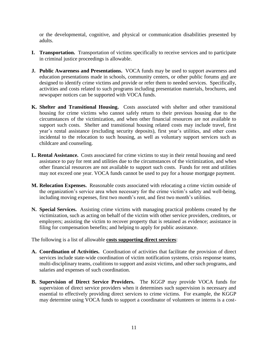or the developmental, cognitive, and physical or communication disabilities presented by adults.

- **I. Transportation.** Transportation of victims specifically to receive services and to participate in criminal justice proceedings is allowable.
- **J. Public Awareness and Presentations.** VOCA funds may be used to support awareness and education presentations made in schools, community centers, or other public forums and are designed to identify crime victims and provide or refer them to needed services. Specifically, activities and costs related to such programs including presentation materials, brochures, and newspaper notices can be supported with VOCA funds.
- **K. Shelter and Transitional Housing.** Costs associated with shelter and other transitional housing for crime victims who cannot safely return to their previous housing due to the circumstances of the victimization, and when other financial resources are not available to support such costs. Shelter and transitional housing related costs may include travel, first year's rental assistance (excluding security deposits), first year's utilities, and other costs incidental to the relocation to such housing, as well as voluntary support services such as childcare and counseling.
- **L. Rental Assistance.** Costs associated for crime victims to stay in their rental housing and need assistance to pay for rent and utilities due to the circumstances of the victimization, and when other financial resources are not available to support such costs. Funds for rent and utilities may not exceed one year. VOCA funds cannot be used to pay for a house mortgage payment.
- **M. Relocation Expenses.** Reasonable costs associated with relocating a crime victim outside of the organization's service area when necessary for the crime victim's safety and well-being, including moving expenses, first two month's rent, and first two month's utilities.
- **N. Special Services.** Assisting crime victims with managing practical problems created by the victimization, such as acting on behalf of the victim with other service providers, creditors, or employers; assisting the victim to recover property that is retained as evidence; assistance in filing for compensation benefits; and helping to apply for public assistance.

The following is a list of allowable **costs supporting direct services**:

- **A. Coordination of Activities.** Coordination of activities that facilitate the provision of direct services include state-wide coordination of victim notification systems, crisis response teams, multi-disciplinary teams, coalitions to support and assist victims, and other such programs, and salaries and expenses of such coordination.
- **B. Supervision of Direct Service Providers.** The KGGP may provide VOCA funds for supervision of direct service providers when it determines such supervision is necessary and essential to effectively providing direct services to crime victims. For example, the KGGP may determine using VOCA funds to support a coordinator of volunteers or interns is a cost-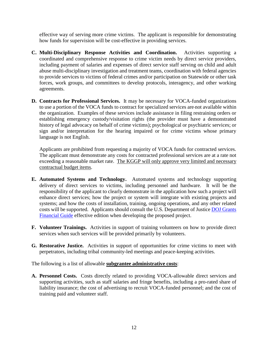effective way of serving more crime victims. The applicant is responsible for demonstrating how funds for supervision will be cost-effective in providing services.

- **C. Multi-Disciplinary Response Activities and Coordination.** Activities supporting a coordinated and comprehensive response to crime victim needs by direct service providers, including payment of salaries and expenses of direct service staff serving on child and adult abuse multi-disciplinary investigation and treatment teams, coordination with federal agencies to provide services to victims of federal crimes and/or participation on Statewide or other task forces, work groups, and committees to develop protocols, interagency, and other working agreements.
- **D. Contracts for Professional Services.** It may be necessary for VOCA-funded organizations to use a portion of the VOCA funds to contract for specialized services are not available within the organization. Examples of these services include assistance in filing restraining orders or establishing emergency custody/visitation rights (the provider must have a demonstrated history of legal advocacy on behalf of crime victims); psychological or psychiatric services; or sign and/or interpretation for the hearing impaired or for crime victims whose primary language is not English.

Applicants are prohibited from requesting a majority of VOCA funds for contracted services. The applicant must demonstrate any costs for contracted professional services are at a rate not exceeding a reasonable market rate. The KGGP will only approve very limited and necessary contractual budget items.

- **E. Automated Systems and Technology.** Automated systems and technology supporting delivery of direct services to victims, including personnel and hardware. It will be the responsibility of the applicant to clearly demonstrate in the application how such a project will enhance direct services; how the project or system will integrate with existing projects and systems; and how the costs of installation, training, ongoing operations, and any other related costs will be supported. Applicants should consult the U.S. Department of Justice [DOJ Grants](http://ojp.gov/financialguide/DOJ/index.htm)  [Financial Guide](http://ojp.gov/financialguide/DOJ/index.htm) effective edition when developing the proposed project.
- **F. Volunteer Trainings.** Activities in support of training volunteers on how to provide direct services when such services will be provided primarily by volunteers.
- **G. Restorative Justice.** Activities in support of opportunities for crime victims to meet with perpetrators, including tribal community-led meetings and peace-keeping activities.

The following is a list of allowable **subgrantee administrative costs**:

**A. Personnel Costs.** Costs directly related to providing VOCA-allowable direct services and supporting activities, such as staff salaries and fringe benefits, including a pro-rated share of liability insurance; the cost of advertising to recruit VOCA-funded personnel; and the cost of training paid and volunteer staff.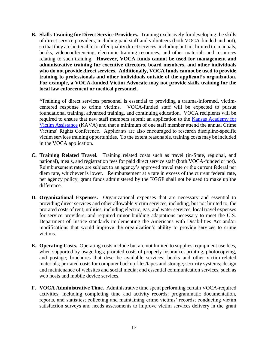**B. Skills Training for Direct Service Providers.** Training exclusively for developing the skills of direct service providers, including paid staff and volunteers (both VOCA-funded and not), so that they are better able to offer quality direct services, including but not limited to, manuals, books, videoconferencing, electronic training resources, and other materials and resources relating to such training. **However, VOCA funds cannot be used for management and administrative training for executive directors, board members, and other individuals who do not provide direct services. Additionally, VOCA funds cannot be used to provide training to professionals and other individuals outside of the applicant's organization. For example, a VOCA-funded Victim Advocate may not provide skills training for the local law enforcement or medical personnel.**

\*Training of direct services personnel is essential to providing a trauma-informed, victimcentered response to crime victims. VOCA-funded staff will be expected to pursue foundational training, advanced training, and continuing education. VOCA recipients will be required to ensure that new staff members submit an application to the Kansas Academy for [Victim Assistance](http://www.grants.ks.gov/programs/kava/about-kava) (KAVA) and that a minimum of one staff member attend the annual Crime Victims' Rights Conference. Applicants are also encouraged to research discipline-specific victim services training opportunities. To the extent reasonable, training costs may be included in the VOCA application.

- **C. Training Related Travel.** Training related costs such as travel (in-State, regional, and national), meals, and registration fees for paid direct service staff (both VOCA-funded or not). Reimbursement rates are subject to an agency's approved travel rate or the current federal per diem rate, whichever is lower. Reimbursement at a rate in excess of the current federal rate, per agency policy, grant funds administered by the KGGP shall not be used to make up the difference.
- **D. Organizational Expenses.** Organizational expenses that are necessary and essential to providing direct services and other allowable victim services, including, but not limited to, the prorated costs of rent; utilities, including electric, gas, and water services; local travel expenses for service providers; and required minor building adaptations necessary to meet the U.S. Department of Justice standards implementing the Americans with Disabilities Act and/or modifications that would improve the organization's ability to provide services to crime victims.
- **E. Operating Costs.** Operating costs include but are not limited to supplies; equipment use fees, when supported by usage logs; prorated costs of property insurance; printing, photocopying, and postage; brochures that describe available services; books and other victim-related materials; prorated costs for computer backup files/tapes and storage; security systems; design and maintenance of websites and social media; and essential communication services, such as web hosts and mobile device services.
- **F. VOCA Administrative Time.** Administrative time spent performing certain VOCA-required activities, including completing time and activity records; programmatic documentation, reports, and statistics; collecting and maintaining crime victims' records; conducting victim satisfaction surveys and needs assessments to improve victim services delivery in the grant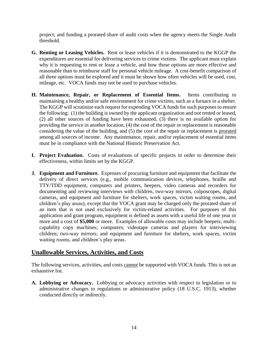project; and funding a prorated share of audit costs when the agency meets the Single Audit threshold.

- **G. Renting or Leasing Vehicles.** Rent or lease vehicles if it is demonstrated to the KGGP the expenditures are essential for delivering services to crime victims. The applicant must explain why it is requesting to rent or lease a vehicle, and how those options are more effective and reasonable than to reimburse staff for personal vehicle mileage. A cost-benefit comparison of all three options must be explored and it must be shown how often vehicles will be used, cost, mileage, etc. VOCA funds may not be used to purchase vehicles.
- **H. Maintenance, Repair, or Replacement of Essential Items.** Items contributing to maintaining a healthy and/or safe environment for crime victims, such as a furnace in a shelter. The KGGP will scrutinize each request for expending VOCA funds for such purposes to ensure the following: (1) the building is owned by the applicant organization and not rented or leased, (2) all other sources of funding have been exhausted, (3) there is no available option for providing the service in another location, (4) the cost of the repair or replacement is reasonable considering the value of the building, and (5) the cost of the repair or replacement is prorated among all sources of income. Any maintenance, repair, and/or replacement of essential items must be in compliance with the National Historic Preservation Act.
- **I. Project Evaluation.** Costs of evaluations of specific projects in order to determine their effectiveness, within limits set by the KGGP.
- **J. Equipment and Furniture.** Expenses of procuring furniture and equipment that facilitate the delivery of direct services (e.g., mobile communication devices, telephones, braille and TTY/TDD equipment, computers and printers, beepers, video cameras and recorders for documenting and reviewing interviews with children, two-way mirrors, colposcopes, digital cameras, and equipment and furniture for shelters, work spaces, victim waiting rooms, and children's play areas), except that the VOCA grant may be charged only the prorated share of an item that is not used exclusively for victim-related activities. For purposes of this application and grant program, equipment is defined as assets with a useful life of one year or more and a cost of **\$5,000** or more. Examples of allowable costs may include beepers; multicapability copy machines; computers; videotape cameras and players for interviewing children; two-way mirrors; and equipment and furniture for shelters, work spaces, victim waiting rooms, and children's play areas.

## **Unallowable Services, Activities, and Costs**

The following services, activities, and costs cannot be supported with VOCA funds. This is not an exhaustive list.

**A. Lobbying or Advocacy.** Lobbying or advocacy activities with respect to legislation or to administrative changes to regulations or administrative policy (18 U.S.C. 1913), whether conducted directly or indirectly.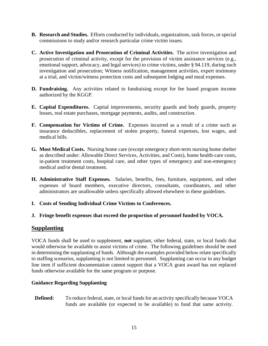- **B. Research and Studies.** Efforts conducted by individuals, organizations, task forces, or special commissions to study and/or research particular crime victim issues.
- **C. Active Investigation and Prosecution of Criminal Activities.** The active investigation and prosecution of criminal activity, except for the provision of victim assistance services (e.g., emotional support, advocacy, and legal services) to crime victims, under § 94.119, during such investigation and prosecution; Witness notification, management activities, expert testimony at a trial, and victim/witness protection costs and subsequent lodging and meal expenses.
- **D. Fundraising.** Any activities related to fundraising except for fee based program income authorized by the KGGP.
- **E. Capital Expenditures.** Capital improvements, security guards and body guards, property losses, real estate purchases, mortgage payments, audits, and construction.
- **F. Compensation for Victims of Crime.** Expenses incurred as a result of a crime such as insurance deductibles, replacement of stolen property, funeral expenses, lost wages, and medical bills.
- **G. Most Medical Costs.** Nursing home care (except emergency short-term nursing home shelter as described under: Allowable Direct Services, Activities, and Costs), home health-care costs, in-patient treatment costs, hospital care, and other types of emergency and non-emergency medical and/or dental treatment.
- **H. Administrative Staff Expenses.** Salaries, benefits, fees, furniture, equipment, and other expenses of board members, executive directors, consultants, coordinators, and other administrators are unallowable unless specifically allowed elsewhere in these guidelines.
- **I. Costs of Sending Individual Crime Victims to Conferences.**
- **J. Fringe benefit expenses that exceed the proportion of personnel funded by VOCA.**

## **Supplanting**

VOCA funds shall be used to supplement, **not** supplant, other federal, state, or local funds that would otherwise be available to assist victims of crime. The following guidelines should be used in determining the supplanting of funds. Although the examples provided below relate specifically to staffing scenarios, supplanting is not limited to personnel. Supplanting can occur in any budget line item if sufficient documentation cannot support that a VOCA grant award has not replaced funds otherwise available for the same program or purpose.

#### **Guidance Regarding Supplanting**

**Defined:** To reduce federal, state, or local funds for an activity specifically because VOCA funds are available (or expected to be available) to fund that same activity.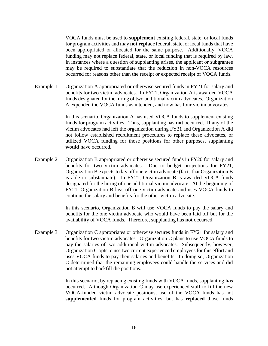VOCA funds must be used to **supplement** existing federal, state, or local funds for program activities and may **not replace** federal, state, or local funds that have been appropriated or allocated for the same purpose. Additionally, VOCA funding may not replace federal, state, or local funding that is required by law. In instances where a question of supplanting arises, the applicant or subgrantee may be required to substantiate that the reduction in non-VOCA resources occurred for reasons other than the receipt or expected receipt of VOCA funds.

Example 1 Organization A appropriated or otherwise secured funds in FY21 for salary and benefits for two victim advocates. In FY21, Organization A is awarded VOCA funds designated for the hiring of two additional victim advocates. Organization A expended the VOCA funds as intended, and now has four victim advocates.

> In this scenario, Organization A has used VOCA funds to supplement existing funds for program activities. Thus, supplanting has **not** occurred. If any of the victim advocates had left the organization during FY21 and Organization A did not follow established recruitment procedures to replace these advocates, or utilized VOCA funding for those positions for other purposes, supplanting **would** have occurred.

Example 2 Organization B appropriated or otherwise secured funds in FY20 for salary and benefits for two victim advocates. Due to budget projections for FY21, Organization B expects to lay off one victim advocate (facts that Organization B is able to substantiate). In FY21, Organization B is awarded VOCA funds designated for the hiring of one additional victim advocate. At the beginning of FY21, Organization B lays off one victim advocate and uses VOCA funds to continue the salary and benefits for the other victim advocate.

> In this scenario, Organization B will use VOCA funds to pay the salary and benefits for the one victim advocate who would have been laid off but for the availability of VOCA funds. Therefore, supplanting has **not** occurred.

Example 3 Organization C appropriates or otherwise secures funds in FY21 for salary and benefits for two victim advocates. Organization C plans to use VOCA funds to pay the salaries of two additional victim advocates. Subsequently, however, Organization C opts to use two current experienced employees for this effort and uses VOCA funds to pay their salaries and benefits. In doing so, Organization C determined that the remaining employees could handle the services and did not attempt to backfill the positions.

> In this scenario, by replacing existing funds with VOCA funds, supplanting **has** occurred. Although Organization C may use experienced staff to fill the new VOCA-funded victim advocate positions, use of the VOCA funds has not **supplemented** funds for program activities, but has **replaced** those funds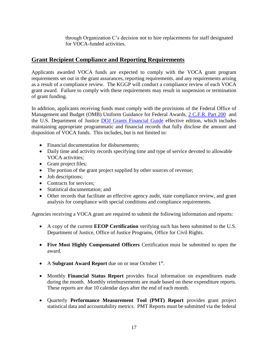through Organization C's decision not to hire replacements for staff designated for VOCA-funded activities.

## **Grant Recipient Compliance and Reporting Requirements**

Applicants awarded VOCA funds are expected to comply with the VOCA grant program requirements set out in the grant assurances, reporting requirements, and any requirements arising as a result of a compliance review. The KGGP will conduct a compliance review of each VOCA grant award. Failure to comply with these requirements may result in suspension or termination of grant funding.

In addition, applicants receiving funds must comply with the provisions of the Federal Office of Management and Budget (OMB) Uniform Guidance for Federal Awards, [2 C.F.R. Part 200](http://www.ecfr.gov/cgi-bin/text-idx?SID=2c6d1c9f8de1f9619110b4599d84a234&mc=true&node=pt2.1.200&rgn=div5#_top) and the U.S. Department of Justice [DOJ Grants Financial Guide](http://ojp.gov/financialguide/DOJ/index.htm) effective edition, which includes maintaining appropriate programmatic and financial records that fully disclose the amount and disposition of VOCA funds. This includes, but is not limited to:

- Financial documentation for disbursements;
- Daily time and activity records specifying time and type of service devoted to allowable VOCA activities;
- Grant project files;
- The portion of the grant project supplied by other sources of revenue;
- Job descriptions;
- Contracts for services:
- Statistical documentation; and
- Other records that facilitate an effective agency audit, state compliance review, and grant analysis for compliance with special conditions and compliance requirements.

Agencies receiving a VOCA grant are required to submit the following information and reports:

- A copy of the current **EEOP Certification** verifying such has been submitted to the U.S. Department of Justice, Office of Justice Programs, Office for Civil Rights.
- **Five Most Highly Compensated Officers** Certification must be submitted to open the award.
- A Subgrant Award Report due on or near October 1<sup>st</sup>.
- Monthly **Financial Status Report** provides fiscal information on expenditures made during the month. Monthly reimbursements are made based on these expenditure reports. These reports are due 10 calendar days after the end of each month.
- Quarterly **Performance Measurement Tool (PMT) Report** provides grant project statistical data and accountability metrics. PMT Reports must be submitted via the federal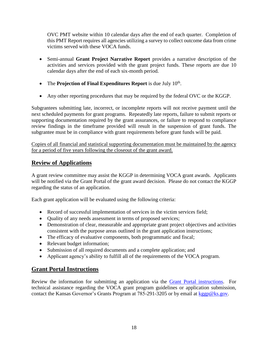OVC PMT website within 10 calendar days after the end of each quarter. Completion of this PMT Report requires all agencies utilizing a survey to collect outcome data from crime victims served with these VOCA funds.

- Semi-annual **Grant Project Narrative Report** provides a narrative description of the activities and services provided with the grant project funds. These reports are due 10 calendar days after the end of each six-month period.
- The **Projection of Final Expenditures Report** is due July 10<sup>th</sup>.
- Any other reporting procedures that may be required by the federal OVC or the KGGP.

Subgrantees submitting late, incorrect, or incomplete reports will not receive payment until the next scheduled payments for grant programs. Repeatedly late reports, failure to submit reports or supporting documentation required by the grant assurances, or failure to respond to compliance review findings in the timeframe provided will result in the suspension of grant funds. The subgrantee must be in compliance with grant requirements before grant funds will be paid.

Copies of all financial and statistical supporting documentation must be maintained by the agency for a period of five years following the closeout of the grant award.

## **Review of Applications**

A grant review committee may assist the KGGP in determining VOCA grant awards. Applicants will be notified via the Grant Portal of the grant award decision. Please do not contact the KGGP regarding the status of an application.

Each grant application will be evaluated using the following criteria:

- Record of successful implementation of services in the victim services field;
- Quality of any needs assessment in terms of proposed services;
- Demonstration of clear, measurable and appropriate grant project objectives and activities consistent with the purpose areas outlined in the grant application instructions;
- The efficacy of evaluative components, both programmatic and fiscal;
- Relevant budget information;
- Submission of all required documents and a complete application; and
- Applicant agency's ability to fulfill all of the requirements of the VOCA program.

## **Grant Portal Instructions**

Review the information for submitting an application via the [Grant Portal instructions.](http://grants.ks.gov/docs/default-source/how-to-guides/application-portal-instructions.pdf?sfvrsn=4) For technical assistance regarding the VOCA grant program guidelines or application submission, contact the Kansas Governor's Grants Program at 785-291-3205 or by email at [kggp@ks.gov.](mailto:kggp@ks.gov)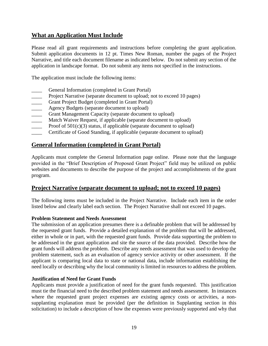## **What an Application Must Include**

Please read all grant requirements and instructions before completing the grant application. Submit application documents in 12 pt. Times New Roman, number the pages of the Project Narrative, and title each document filename as indicated below. Do not submit any section of the application in landscape format. Do not submit any items not specified in the instructions.

The application must include the following items:

- General Information (completed in Grant Portal)
- Project Narrative (separate document to upload; not to exceed 10 pages)
- Grant Project Budget (completed in Grant Portal)
- **EXECUTE:** Agency Budgets (separate document to upload)
- Grant Management Capacity (separate document to upload)
- \_\_\_\_ Match Waiver Request, if applicable (separate document to upload)
- Proof of  $501(c)(3)$  status, if applicable (separate document to upload)
- Certificate of Good Standing, if applicable (separate document to upload)

## **General Information (completed in Grant Portal)**

Applicants must complete the General Information page online. Please note that the language provided in the "Brief Description of Proposed Grant Project" field may be utilized on public websites and documents to describe the purpose of the project and accomplishments of the grant program.

## **Project Narrative (separate document to upload; not to exceed 10 pages)**

The following items must be included in the Project Narrative. Include each item in the order listed below and clearly label each section. The Project Narrative shall not exceed 10 pages.

#### **Problem Statement and Needs Assessment**

The submission of an application presumes there is a definable problem that will be addressed by the requested grant funds. Provide a detailed explanation of the problem that will be addressed, either in whole or in part, with the requested grant funds. Provide data supporting the problem to be addressed in the grant application and site the source of the data provided. Describe how the grant funds will address the problem. Describe any needs assessment that was used to develop the problem statement, such as an evaluation of agency service activity or other assessment. If the applicant is comparing local data to state or national data, include information establishing the need locally or describing why the local community is limited in resources to address the problem.

#### **Justification of Need for Grant Funds**

Applicants must provide a justification of need for the grant funds requested. This justification must tie the financial need to the described problem statement and needs assessment. In instances where the requested grant project expenses are existing agency costs or activities, a nonsupplanting explanation must be provided (per the definition in Supplanting section in this solicitation) to include a description of how the expenses were previously supported and why that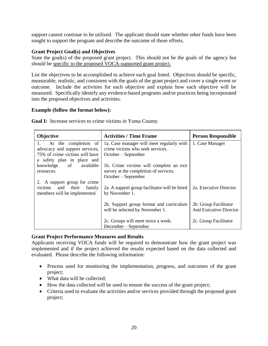support cannot continue to be utilized. The applicant should state whether other funds have been sought to support the program and describe the outcome of those efforts.

#### **Grant Project Goal(s) and Objectives**

State the goal(s) of the proposed grant project. This should not be the goals of the agency but should be specific to the proposed VOCA-supported grant project.

List the objectives to be accomplished to achieve each goal listed. Objectives should be specific, measurable, realistic, and consistent with the goals of the grant project and cover a single event or outcome. Include the activities for each objective and explain how each objective will be measured. Specifically identify any evidence-based programs and/or practices being incorporated into the proposed objectives and activities.

#### **Example (follow the format below):**

| <b>Objective</b>                                                                         | <b>Activities / Time Frame</b>                                                   | <b>Person Responsible</b>                       |  |
|------------------------------------------------------------------------------------------|----------------------------------------------------------------------------------|-------------------------------------------------|--|
| At the completion of<br>1.                                                               | 1a. Case manager will meet regularly with<br>crime victims who seek services.    | 1. Case Manager                                 |  |
| advocacy and support services,<br>75% of crime victims will have                         | $October - September$                                                            |                                                 |  |
| a safety plan in place and                                                               |                                                                                  |                                                 |  |
| knowledge of available<br>resources.                                                     | 1b. Crime victims will complete an exit<br>survey at the completion of services. |                                                 |  |
|                                                                                          | $October - September$                                                            |                                                 |  |
| 2. A support group for crime<br>victims and their family<br>members will be implemented. | 2a. A support group facilitator will be hired<br>by November 1.                  | 2a. Executive Director                          |  |
|                                                                                          | 2b. Support group format and curriculum<br>will be selected by November 1.       | 2b. Group Facilitator<br>And Executive Director |  |
|                                                                                          | 2c. Groups will meet twice a week.<br>December – September                       | 2c. Group Facilitator                           |  |

**Goal I:** Increase services to crime victims in Yuma County.

#### **Grant Project Performance Measures and Results**

Applicants receiving VOCA funds will be required to demonstrate how the grant project was implemented and if the project achieved the results expected based on the data collected and evaluated. Please describe the following information:

- Process used for monitoring the implementation, progress, and outcomes of the grant project;
- What data will be collected;
- How the data collected will be used to ensure the success of the grant project;
- Criteria used to evaluate the activities and/or services provided through the proposed grant project;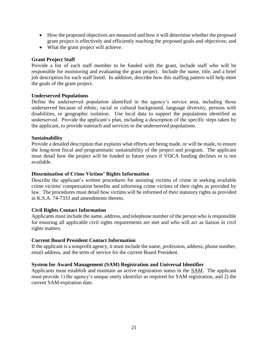- How the proposed objectives are measured and how it will determine whether the proposed grant project is effectively and efficiently reaching the proposed goals and objectives; and
- What the grant project will achieve.

#### **Grant Project Staff**

Provide a list of each staff member to be funded with the grant, include staff who will be responsible for monitoring and evaluating the grant project. Include the name, title, and a brief job description for each staff listed. In addition, describe how this staffing pattern will help meet the goals of the grant project.

#### **Underserved Populations**

Define the underserved population identified in the agency's service area, including those underserved because of ethnic, racial or cultural background, language diversity, persons with disabilities, or geographic isolation. Use local data to support the populations identified as underserved. Provide the applicant's plan, including a description of the specific steps taken by the applicant, to provide outreach and services to the underserved populations.

#### **Sustainability**

Provide a detailed description that explains what efforts are being made, or will be made, to ensure the long-term fiscal and programmatic sustainability of the project and program. The applicant must detail how the project will be funded in future years if VOCA funding declines or is not available.

#### **Dissemination of Crime Victims' Rights Information**

Describe the applicant's written procedures for assisting victims of crime in seeking available crime victims' compensation benefits and informing crime victims of their rights as provided by law. The procedures must detail how victims will be informed of their statutory rights as provided in K.S.A. 74-7333 and amendments thereto.

#### **Civil Rights Contact Information**

Applicants must include the name, address, and telephone number of the person who is responsible for ensuring all applicable civil rights requirements are met and who will act as liaison in civil rights matters.

#### **Current Board President Contact Information**

If the applicant is a nonprofit agency, it must include the name, profession, address, phone number, email address, and the term of service for the current Board President.

#### **System for Award Management (SAM) Registration and Universal Identifier**

Applicants must establish and maintain an active registration status in the [SAM.](http://www.sam.gov/) The applicant must provide 1) the agency's unique entity identifier as required for SAM registration, and 2) the current SAM expiration date.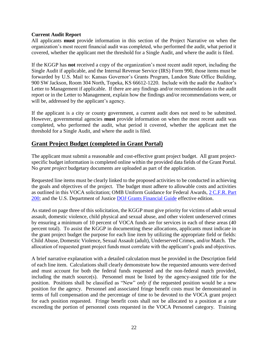#### **Current Audit Report**

All applicants **must** provide information in this section of the Project Narrative on when the organization's most recent financial audit was completed, who performed the audit, what period it covered, whether the applicant met the threshold for a Single Audit, and where the audit is filed.

If the KGGP has **not** received a copy of the organization's most recent audit report, including the Single Audit if applicable, and the Internal Revenue Service (IRS) Form 990, those items must be forwarded by U.S. Mail to: Kansas Governor's Grants Program, Landon State Office Building, 900 SW Jackson, Room 304 North, Topeka, KS 66612-1220. Include with the audit the Auditor's Letter to Management if applicable. If there are any findings and/or recommendations in the audit report or in the Letter to Management, explain how the findings and/or recommendations were, or will be, addressed by the applicant's agency.

If the applicant is a city or county government, a current audit does not need to be submitted. However, governmental agencies **must** provide information on when the most recent audit was completed, who performed the audit, what period it covered, whether the applicant met the threshold for a Single Audit, and where the audit is filed.

## **Grant Project Budget (completed in Grant Portal)**

The applicant must submit a reasonable and cost-effective grant project budget. All grant projectspecific budget information is completed online within the provided data fields of the Grant Portal. No *grant project* budgetary documents are uploaded as part of the application.

Requested line items must be clearly linked to the proposed activities to be conducted in achieving the goals and objectives of the project. The budget must adhere to allowable costs and activities as outlined in this VOCA solicitation; OMB Uniform Guidance for Federal Awards, [2 C.F.R. Part](http://www.ecfr.gov/cgi-bin/text-idx?SID=2c6d1c9f8de1f9619110b4599d84a234&mc=true&node=pt2.1.200&rgn=div5#_top)  [200;](http://www.ecfr.gov/cgi-bin/text-idx?SID=2c6d1c9f8de1f9619110b4599d84a234&mc=true&node=pt2.1.200&rgn=div5#_top) and the U.S. Department of Justice [DOJ Grants Financial Guide](http://ojp.gov/financialguide/DOJ/index.htm) effective edition.

As stated on page three of this solicitation, the KGGP must give priority for victims of adult sexual assault, domestic violence, child physical and sexual abuse, and other violent underserved crimes by ensuring a minimum of 10 percent of VOCA funds are for services in each of these areas (40 percent total). To assist the KGGP in documenting these allocations, applicants must indicate in the grant project budget the purpose for each line item by utilizing the appropriate field or fields: Child Abuse, Domestic Violence, Sexual Assault (adult), Underserved Crimes, and/or Match. The allocation of requested grant project funds must correlate with the applicant's goals and objectives.

A brief narrative explanation with a detailed calculation must be provided in the Description field of each line item. Calculations shall clearly demonstrate how the requested amounts were derived and must account for both the federal funds requested and the non-federal match provided, including the match source(s). Personnel must be listed by the agency-assigned title for the position. Positions shall be classified as "New" *only if* the requested position would be a new position for the agency. Personnel and associated fringe benefit costs must be demonstrated in terms of full compensation and the percentage of time to be devoted to the VOCA grant project for each position requested. Fringe benefit costs shall not be allocated to a position at a rate exceeding the portion of personnel costs requested in the VOCA Personnel category. Training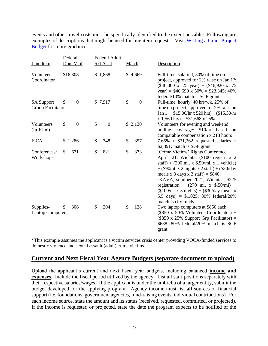events and other travel costs must be specifically identified to the extent possible. Following are examples of descriptions that might be used for line item requests. Visit [Writing a Grant Project](https://grants.ks.gov/docs/default-source/how-to-guides/writing-a-grant-project-budget-guide.pdf?sfvrsn=2d1f541a_4)  [Budget](https://grants.ks.gov/docs/default-source/how-to-guides/writing-a-grant-project-budget-guide.pdf?sfvrsn=2d1f541a_4) for more guidance.

| Line Item                              | Federal<br>Dom Viol    | Federal Adult<br><b>Sxl Asslt</b> | Match                  | Description                                                                                                                                                                                                                                                                                                                                                                                                                                                     |
|----------------------------------------|------------------------|-----------------------------------|------------------------|-----------------------------------------------------------------------------------------------------------------------------------------------------------------------------------------------------------------------------------------------------------------------------------------------------------------------------------------------------------------------------------------------------------------------------------------------------------------|
| Volunteer<br>Coordinator               | \$16,808               | \$1,868                           | \$4,669                | Full-time, salaried, 50% of time on<br>project, approved for 2% raise on Jan 1 <sup>st</sup> :<br>$(\$46,000 \times .25 \text{ year}) + (\$46,920 \times .75)$<br>year) = $$46,690 \times 50\% = $23,345; 40\%$<br>federal/10% match is SGF grant                                                                                                                                                                                                               |
| <b>SA Support</b><br>Group Facilitator | $\boldsymbol{0}$<br>\$ | \$7,917                           | \$<br>$\boldsymbol{0}$ | Full-time, hourly, 40 hrs/wk, 25% of<br>time on project; approved for 2% raise on<br>Jan 1 <sup>st</sup> : (\$15.00/hr x 520 hrs) + (\$15.30/hr<br>$x 1,560$ hrs) = \$31,668 x 25%                                                                                                                                                                                                                                                                              |
| Volunteers<br>$(In-Kind)$              | \$<br>$\boldsymbol{0}$ | \$<br>$\boldsymbol{0}$            | \$2,130                | Volunteers for evening and weekend<br>hotline coverage: \$10/hr based<br>on<br>comparable compensation x 213 hours                                                                                                                                                                                                                                                                                                                                              |
| <b>FICA</b>                            | \$1,286                | \$<br>748                         | \$<br>357              | 7.65% x $$31,262$ requested salaries =<br>\$2,391; match is SGF grant                                                                                                                                                                                                                                                                                                                                                                                           |
| Conferences/<br>Workshops              | \$<br>671              | \$<br>821                         | \$<br>373              | ·Crime Victims' Rights Conference,<br>April '21, Wichita: (\$100 registr. x 2<br>staff) + $(200 \text{ mi. x } $.50/\text{mi. x } 1 \text{ vehicle})$<br>$+$ (\$90/nt. x 2 nights x 2 staff) + (\$30/day<br>meals x 3 days x 2 staff) = $$840;$<br>·KAVA, summer 2021, Wichita: \$225<br>registration + $(270 \text{ mi. x } $.50/\text{mi})$ +<br>$($100/nt. x 5 nights) + ($30/day meals x)$<br>5.5 days) = $$1,025$ ; 80% federal/20%<br>match is city funds |
| Supplies-<br><b>Laptop Computers</b>   | 306<br>\$              | \$<br>204                         | 128<br>\$              | Two laptop computers at \$850 each:<br>$(\$850 \times 50\%$ Volunteer Coordinator) +<br>$(\$850 \times 25\%$ Support Grp Facilitator) =<br>\$638; 80% federal/20% match is SGF<br>grant                                                                                                                                                                                                                                                                         |

\*This example assumes the applicant is a victim services crisis center providing VOCA-funded services to domestic violence and sexual assault (adult) crime victims.

#### **Current and Next Fiscal Year Agency Budgets (separate document to upload)**

Upload the applicant's current and next fiscal year budgets, including balanced **income and expenses**. Include the fiscal period utilized by the agency. List all staff positions separately with their respective salaries/wages. If the applicant is under the umbrella of a larger entity, submit the budget developed for the applying program. Agency income must list **all** sources of financial support (i.e. foundations, government agencies, fund-raising events, individual contributions). For each income source, state the amount and its status (received, requested, committed, or projected). If the income is requested or projected, state the date the program expects to be notified of the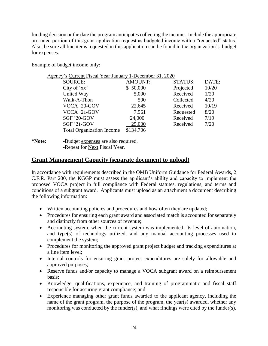funding decision or the date the program anticipates collecting the income. Include the appropriate pro-rated portion of this grant application request as budgeted income with a "requested" status. Also, be sure all line items requested in this application can be found in the organization's budget for expenses.

Example of budget income only:

| Agency's Current Fiscal Year January 1-December 31, 2020 |                |           |       |
|----------------------------------------------------------|----------------|-----------|-------|
| <b>SOURCE:</b>                                           | <b>AMOUNT:</b> | STATUS:   | DATE: |
| City of 'xx'                                             | \$50,000       | Projected | 10/20 |
| United Way                                               | 5,000          | Received  | 1/20  |
| Walk-A-Thon                                              | 500            | Collected | 4/20  |
| VOCA '20-GOV                                             | 22,645         | Received  | 10/19 |
| VOCA '21-GOV                                             | 7,561          | Requested | 8/20  |
| SGF '20-GOV                                              | 24,000         | Received  | 7/19  |
| <b>SGF '21-GOV</b>                                       | 25,000         | Received  | 7/20  |
| <b>Total Organization Income</b>                         | \$134,706      |           |       |
|                                                          |                |           |       |

**<sup>\*</sup>Note:** -Budget expenses are also required. -Repeat for Next Fiscal Year.

## **Grant Management Capacity (separate document to upload)**

In accordance with requirements described in the OMB Uniform Guidance for Federal Awards, 2 C.F.R. Part 200, the KGGP must assess the applicant's ability and capacity to implement the proposed VOCA project in full compliance with Federal statutes, regulations, and terms and conditions of a subgrant award. Applicants must upload as an attachment a document describing the following information:

- Written accounting policies and procedures and how often they are updated;
- Procedures for ensuring each grant award and associated match is accounted for separately and distinctly from other sources of revenue;
- Accounting system, when the current system was implemented, its level of automation, and type(s) of technology utilized, and any manual accounting processes used to complement the system;
- Procedures for monitoring the approved grant project budget and tracking expenditures at a line item level;
- Internal controls for ensuring grant project expenditures are solely for allowable and approved purposes;
- Reserve funds and/or capacity to manage a VOCA subgrant award on a reimbursement basis;
- Knowledge, qualifications, experience, and training of programmatic and fiscal staff responsible for assuring grant compliance; and
- Experience managing other grant funds awarded to the applicant agency, including the name of the grant program, the purpose of the program, the year(s) awarded, whether any monitoring was conducted by the funder(s), and what findings were cited by the funder(s).